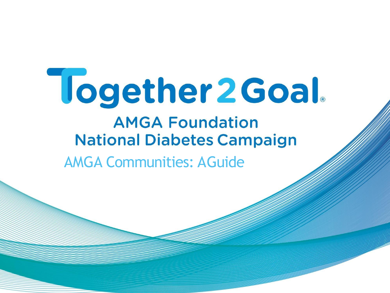# Together 2 Goal.

# **AMGA Foundation National Diabetes Campaign**

**AMGA Communities: AGuide**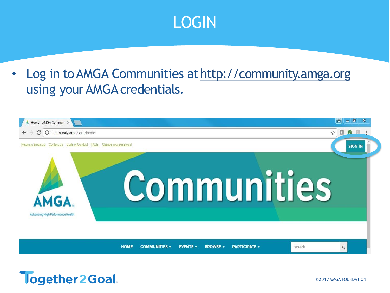### LOGIN

• Log in to AMGA Communities at http://community.amga.org using your AMGA credentials.

| Home - AMGA Commun X                                                                       |                                                                           | 同<br>E.<br>$\blacksquare$                                                                                                                                                                                                                                                                                                                                                                                                        |
|--------------------------------------------------------------------------------------------|---------------------------------------------------------------------------|----------------------------------------------------------------------------------------------------------------------------------------------------------------------------------------------------------------------------------------------------------------------------------------------------------------------------------------------------------------------------------------------------------------------------------|
| <b>1</b> Community.amga.org/home<br>C<br>$\leftarrow$ $\rightarrow$                        |                                                                           | $\begin{picture}(20,20) \put(0,0){\dashbox{0.5}(5,0){ }} \thicklines \put(0,0){\dashbox{0.5}(5,0){ }} \thicklines \put(0,0){\dashbox{0.5}(5,0){ }} \thicklines \put(0,0){\dashbox{0.5}(5,0){ }} \thicklines \put(0,0){\dashbox{0.5}(5,0){ }} \thicklines \put(0,0){\dashbox{0.5}(5,0){ }} \thicklines \put(0,0){\dashbox{0.5}(5,0){ }} \thicklines \put(0,0){\dashbox{0.5}(5,0){ }} \thicklines \put(0,0){\dashbox{0.5}(5,$<br>☆ |
| Return to amga.org<br>Code of Conduct<br><b>FAQS</b><br>Change your password<br>Contact Us |                                                                           | <b>SIGN IN</b>                                                                                                                                                                                                                                                                                                                                                                                                                   |
| AMGA.<br>Advancing High Performance Health                                                 | Communities                                                               |                                                                                                                                                                                                                                                                                                                                                                                                                                  |
|                                                                                            | <b>HOME</b><br><b>COMMUNITIES -</b><br><b>EVENTS -</b><br><b>BROWSE</b> - | <b>PARTICIPATE -</b><br>search<br>Q                                                                                                                                                                                                                                                                                                                                                                                              |

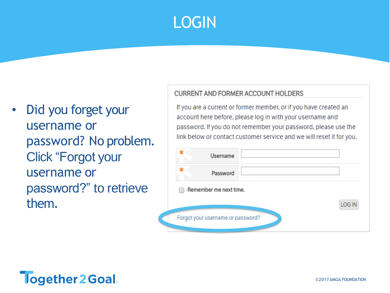# LOGIN

Did you forget your username or password? No problem. Click "Forgot your username or password?" to retrieve them.

#### **CURRENT AND FORMER ACCOUNT HOLDERS**

If you are a current or former member, or if you have created an account here before, please log in with your username and password. If you do not remember your password, please use the link below or contact customer service and we will reset it for you.

| Username                          |        |  |
|-----------------------------------|--------|--|
| Password                          |        |  |
| Remember me next time.            |        |  |
|                                   | LOG IN |  |
| Forgot your username or password? |        |  |

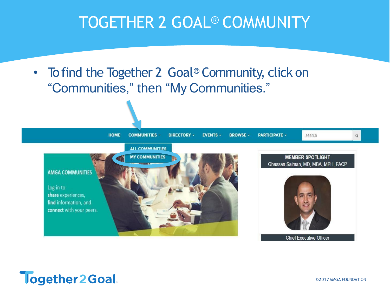• To find the Together 2 Goal<sup>®</sup> Community, click on "Communities," then "My Communities."



![](_page_3_Picture_3.jpeg)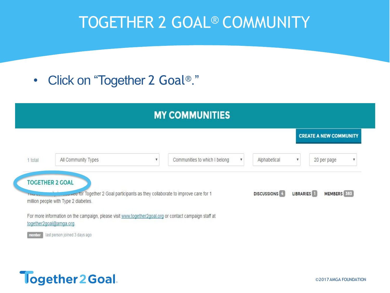• Click on "Together 2 Goal®."

|         |                                                                                                                                                               |                           | <b>MY COMMUNITIES</b>         |   |                      |                           |                               |
|---------|---------------------------------------------------------------------------------------------------------------------------------------------------------------|---------------------------|-------------------------------|---|----------------------|---------------------------|-------------------------------|
|         |                                                                                                                                                               |                           |                               |   |                      |                           | <b>CREATE A NEW COMMUNITY</b> |
| 1 total | All Community Types                                                                                                                                           | $\boldsymbol{\mathrm{v}}$ | Communities to which I belong | ۷ | Alphabetical         | $\boldsymbol{\mathrm{v}}$ | 20 per page<br>v              |
| Thomas  | <b>TOGETHER 2 GOAL</b><br><b>Low Four Tour Together 2 Goal participants as they collaborate to improve care for 1</b><br>million people with Type 2 diabetes. |                           |                               |   | <b>DISCUSSIONS</b> 4 | LIBRARIES <sup>1</sup>    | MEMBERS 383                   |
|         | For more information on the campaign, please visit www.together2goal.org or contact campaign staff at<br>together2goal@amga.org.                              |                           |                               |   |                      |                           |                               |

last person joined 3 days ago

![](_page_4_Picture_4.jpeg)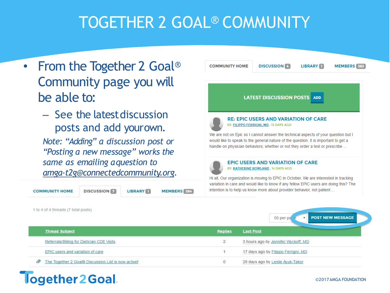- From the Together 2 Goal<sup>®</sup> Community page you will be able to:
	- See the latestdiscussion posts and add yourown.

*Note: "Adding" a discussion post or "Posting a new message" works the same as emailing aquestion to [amga-t2g@connectedcommunity.org.](mailto:amga-t2g@connectedcommunity.org)*

#### **COMMUNITY HOME**

**DISCUSSION LIBRARY** 

MEMBERS 384

![](_page_5_Picture_7.jpeg)

50 per pa

| 1 to 4 of 4 threads (7 total posts) |
|-------------------------------------|
|-------------------------------------|

Together 2 Goal.

| <b>Thread Subject</b>                               | <b>Replies</b> | <b>Last Post</b>                    |
|-----------------------------------------------------|----------------|-------------------------------------|
| Referrals/Billing for Dietician CDE Visits          |                | 3 hours ago by Jennifer Wyckoff, MD |
| EPIC users and variation of care                    |                | 17 days ago by Filippo Ferrigni, MD |
| The Together 2 Goal® Discussion List is now active! |                | 28 days ago by Leslie Ayuk-Takor    |

#### ©2017AMGA FOUNDATION

**POST NEW MESSAGE**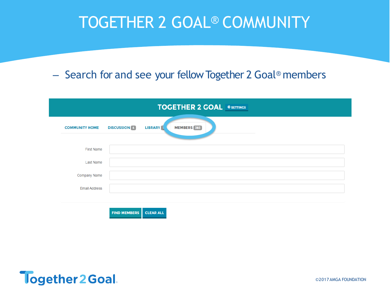### – Search for and see your fellow Together 2 Goal® members

|                       |                     | <b>TOGETHER 2 GOAL &amp; SETTINGS</b> |  |
|-----------------------|---------------------|---------------------------------------|--|
| <b>COMMUNITY HOME</b> | <b>DISCUSSION</b> 4 | MEMBERS 383<br><b>LIBRARY</b>         |  |
| <b>First Name</b>     |                     |                                       |  |
| Last Name             |                     |                                       |  |
| Company Name          |                     |                                       |  |
| <b>Email Address</b>  |                     |                                       |  |

![](_page_6_Picture_3.jpeg)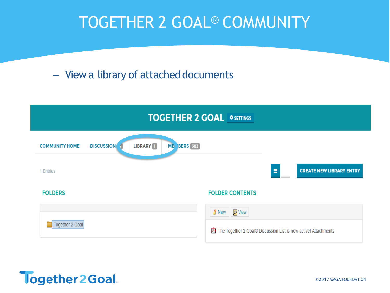### - View a library of attached documents

![](_page_7_Figure_2.jpeg)

![](_page_7_Picture_3.jpeg)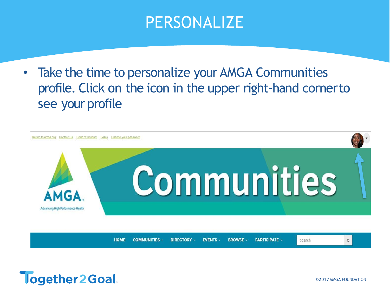### PERSONALIZE

• Take the time to personalize your AMGA Communities profile. Click on the icon in the upper right-hand cornerto see your profile

![](_page_8_Picture_2.jpeg)

![](_page_8_Picture_3.jpeg)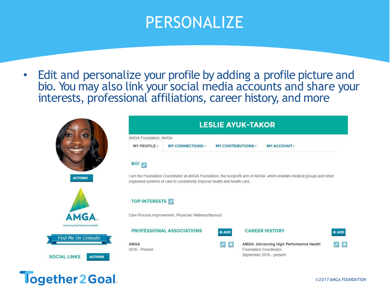### PERSONALIZE

• Edit and personalize your profile by adding a profile picture and bio. You may also link your social media accounts and share your interests, professional affiliations, career history, and more

![](_page_9_Picture_2.jpeg)

| AMGA Foundation, AMGA         |                                                                                                                       |                           |                        |                                         |         |
|-------------------------------|-----------------------------------------------------------------------------------------------------------------------|---------------------------|------------------------|-----------------------------------------|---------|
| MY PROFILE -                  | <b>MY CONNECTIONS-</b>                                                                                                | <b>MY CONTRIBUTIONS -</b> |                        | <b>MY ACCOUNT-</b>                      |         |
| $\mathsf{BIO}_{\mathcal{L}}$  |                                                                                                                       |                           |                        |                                         |         |
|                               | I am the Foundation Coordinator at AMGA Foundation, the nonprofit arm of AMGA, which enables medical groups and other |                           |                        |                                         |         |
|                               |                                                                                                                       |                           |                        |                                         |         |
|                               | organized systems of care to consistently improve health and health care.                                             |                           |                        |                                         |         |
| <b>TOP INTERESTS</b>          |                                                                                                                       |                           |                        |                                         |         |
|                               | Care Process Improvement, Physician Wellness/Burnout                                                                  |                           |                        |                                         |         |
|                               | <b>PROFESSIONAL ASSOCIATIONS</b>                                                                                      | $+$ ADD                   | <b>CAREER HISTORY</b>  |                                         | $+$ ADD |
| <b>AMGA</b><br>2016 - Present |                                                                                                                       |                           | Foundation Coordinator | AMGA: Advancing High Performance Health |         |

![](_page_9_Picture_4.jpeg)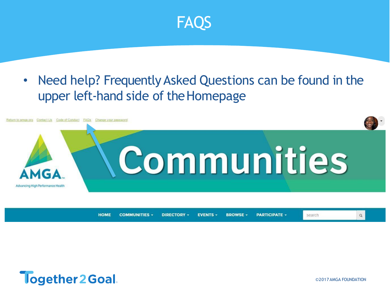![](_page_10_Picture_0.jpeg)

### • Need help? Frequently Asked Questions can be found in the upper left-hand side of the Homepage

![](_page_10_Picture_2.jpeg)

**HOME COMMUNITIES -DIRECTORY -BROWSE -PARTICIPATE -EVENTS -**

![](_page_10_Picture_4.jpeg)

©2017AMGA FOUNDATION

search

 $\alpha$